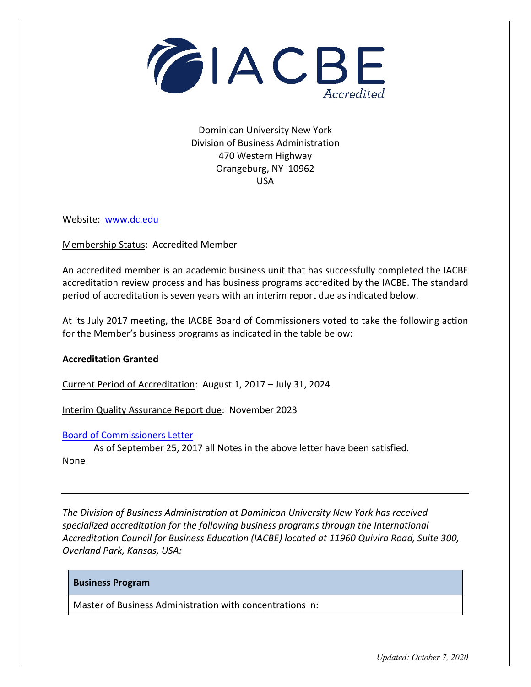

Dominican University New York Division of Business Administration 470 Western Highway Orangeburg, NY 10962 USA

Website: [www.dc.edu](http://www.dc.edu/)

Membership Status: Accredited Member

An accredited member is an academic business unit that has successfully completed the IACBE accreditation review process and has business programs accredited by the IACBE. The standard period of accreditation is seven years with an interim report due as indicated below.

At its July 2017 meeting, the IACBE Board of Commissioners voted to take the following action for the Member's business programs as indicated in the table below:

## **Accreditation Granted**

Current Period of Accreditation: August 1, 2017 – July 31, 2024

Interim Quality Assurance Report due: November 2023

## [Board of Commissioners Letter](https://iacbe.org/memberpdf/BOCDecisionLetter-DominicanCollegeOfBlauvelt-July2017.pdf)

As of September 25, 2017 all Notes in the above letter have been satisfied. None

*The Division of Business Administration at Dominican University New York has received specialized accreditation for the following business programs through the International Accreditation Council for Business Education (IACBE) located at 11960 Quivira Road, Suite 300, Overland Park, Kansas, USA:*

## **Business Program**

Master of Business Administration with concentrations in:

*Updated: October 7, 2020*